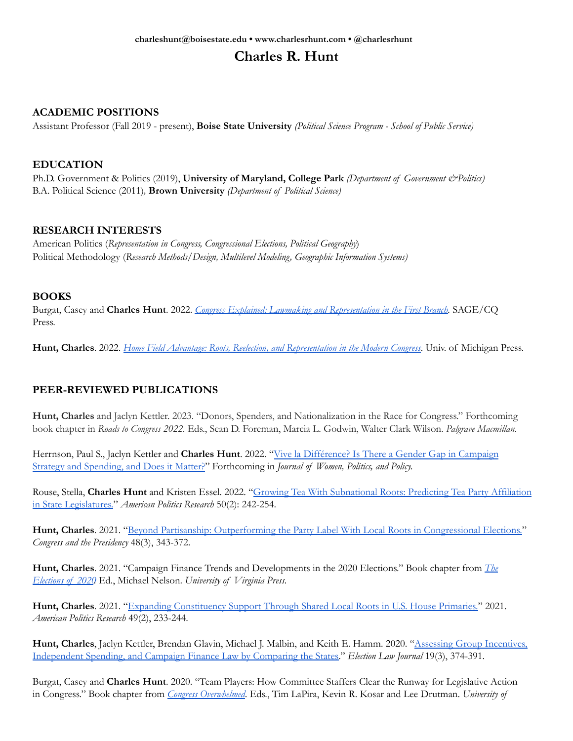# **Charles R. Hunt**

## **ACADEMIC POSITIONS**

Assistant Professor (Fall 2019 - present), **Boise State University** *(Political Science Program - School of Public Service)*

#### **EDUCATION**

Ph.D. Government & Politics (2019), **University of Maryland, College Park** *(Department of Government &Politics)* B.A. Political Science (2011)*,* **Brown University** *(Department of Political Science)*

#### **RESEARCH INTERESTS**

American Politics (*Representation in Congress, Congressional Elections, Political Geography*) Political Methodology (*Research Methods/Design, Multilevel Modeling, Geographic Information Systems)*

#### **BOOKS**

Burgat, Casey and **Charles Hunt**. 2022. *Congress Explained: Lawmaking and [Representation](https://us.sagepub.com/en-us/nam/congress-explained/book276746) in the First Branch.* SAGE/CQ Press.

**Hunt, Charles**. 2022. *Home Field Advantage: Roots, Reelection, and [Representation](https://www.press.umich.edu/12157973/home_field_advantage) in the Modern Congress*. Univ. of Michigan Press.

## **PEER-REVIEWED PUBLICATIONS**

**Hunt, Charles** and Jaclyn Kettler. 2023. "Donors, Spenders, and Nationalization in the Race for Congress." Forthcoming book chapter in *Roads to Congress 2022*. Eds., Sean D. Foreman, Marcia L. Godwin, Walter Clark Wilson. *Palgrave Macmillan*.

Herrnson, Paul S., Jaclyn Kettler and **Charles Hunt**. 2022. "Vive la [Différence?](https://doi.org/10.1080/1554477X.2022.2030893) Is There a Gender Gap in Campaign Strategy and [Spending,](https://doi.org/10.1080/1554477X.2022.2030893) and Does it Matter?" Forthcoming in *Journal of Women, Politics, and Policy.*

Rouse, Stella, **Charles Hunt** and Kristen Essel. 2022. "Growing Tea With [Subnational](https://doi.org/10.1177/1532673X211041150) Roots: Predicting Tea Party Affiliation in State [Legislatures.](https://doi.org/10.1177/1532673X211041150)" *American Politics Research* 50(2): 242-254.

Hunt, Charles. 2021. "Beyond Partisanship: [Outperforming](https://doi.org/10.1080/07343469.2020.1811425) the Party Label With Local Roots in Congressional Elections." *Congress and the Presidency* 48(3), 343-372.

**Hunt, Charles**. 2021. "Campaign Finance Trends and Developments in the 2020 Elections." Book chapter from *[The](https://www.upress.virginia.edu/title/5621) [Elections](https://www.upress.virginia.edu/title/5621) of 2020.* Ed., Michael Nelson. *University of Virginia Press.*

**Hunt, Charles**. 2021. "Expanding [Constituency](https://doi.org/10.1177/1532673X20959606) Support Through Shared Local Roots in U.S. House Primaries." 2021. *American Politics Research* 49(2), 233-244.

**Hunt, Charles**, Jaclyn Kettler, Brendan Glavin, Michael J. Malbin, and Keith E. Hamm. 2020. "Assessing Group [Incentives,](https://doi.org/10.1089/elj.2019.0570) [Independent](https://doi.org/10.1089/elj.2019.0570) Spending, and Campaign Finance Law by Comparing the States." *Election Law Journal* 19(3), 374-391.

Burgat, Casey and **Charles Hunt**. 2020. "Team Players: How Committee Staffers Clear the Runway for Legislative Action in Congress." Book chapter from *Congress [Overwhelmed](https://press.uchicago.edu/ucp/books/book/chicago/C/bo50700299.html)*. Eds., Tim LaPira, Kevin R. Kosar and Lee Drutman. *University of*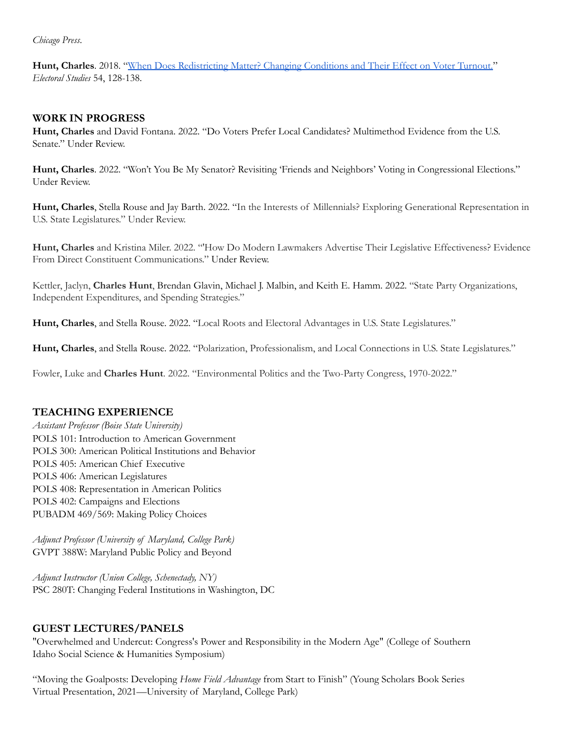*Chicago Press*.

**Hunt, Charles**. 2018. "When Does [Redistricting](https://doi.org/10.1016/j.electstud.2018.05.007) Matter? Changing Conditions and Their Effect on Voter Turnout." *Electoral Studies* 54, 128-138.

### **WORK IN PROGRESS**

**Hunt, Charles** and David Fontana. 2022. "Do Voters Prefer Local Candidates? Multimethod Evidence from the U.S. Senate." Under Review.

**Hunt, Charles**. 2022. "Won't You Be My Senator? Revisiting 'Friends and Neighbors' Voting in Congressional Elections." Under Review.

**Hunt, Charles**, Stella Rouse and Jay Barth. 2022. "In the Interests of Millennials? Exploring Generational Representation in U.S. State Legislatures." Under Review.

**Hunt, Charles** and Kristina Miler. 2022. "'How Do Modern Lawmakers Advertise Their Legislative Effectiveness? Evidence From Direct Constituent Communications." Under Review.

Kettler, Jaclyn, **Charles Hunt**, Brendan Glavin, Michael J. Malbin, and Keith E. Hamm. 2022. "State Party Organizations, Independent Expenditures, and Spending Strategies."

**Hunt, Charles**, and Stella Rouse. 2022. "Local Roots and Electoral Advantages in U.S. State Legislatures."

**Hunt, Charles**, and Stella Rouse. 2022. "Polarization, Professionalism, and Local Connections in U.S. State Legislatures."

Fowler, Luke and **Charles Hunt**. 2022. "Environmental Politics and the Two-Party Congress, 1970-2022."

## **TEACHING EXPERIENCE**

*Assistant Professor (Boise State University)* POLS 101: Introduction to American Government POLS 300: American Political Institutions and Behavior POLS 405: American Chief Executive POLS 406: American Legislatures POLS 408: Representation in American Politics POLS 402: Campaigns and Elections PUBADM 469/569: Making Policy Choices

*Adjunct Professor (University of Maryland, College Park)* GVPT 388W: Maryland Public Policy and Beyond

*Adjunct Instructor (Union College, Schenectady, NY)* PSC 280T: Changing Federal Institutions in Washington, DC

#### **GUEST LECTURES/PANELS**

"Overwhelmed and Undercut: Congress's Power and Responsibility in the Modern Age" (College of Southern Idaho Social Science & Humanities Symposium)

"Moving the Goalposts: Developing *Home Field Advantage* from Start to Finish" (Young Scholars Book Series Virtual Presentation, 2021—University of Maryland, College Park)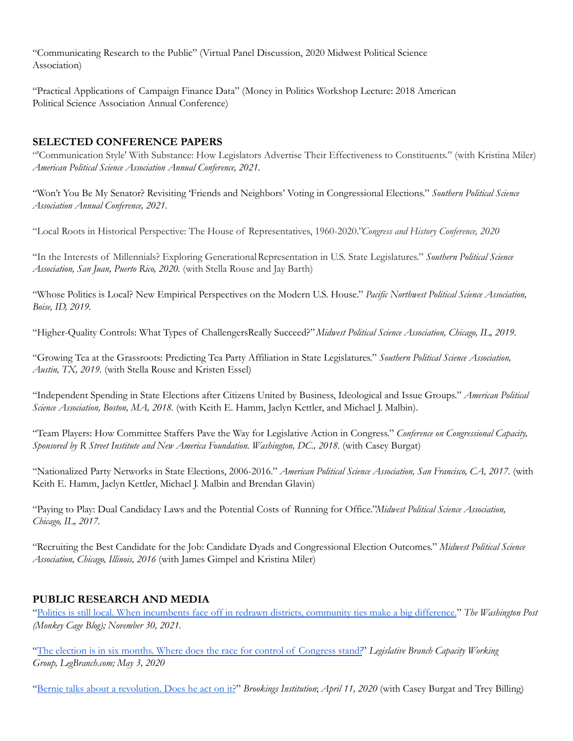"Communicating Research to the Public" (Virtual Panel Discussion, 2020 Midwest Political Science Association)

"Practical Applications of Campaign Finance Data" (Money in Politics Workshop Lecture: 2018 American Political Science Association Annual Conference)

## **SELECTED CONFERENCE PAPERS**

"'Communication Style' With Substance: How Legislators Advertise Their Effectiveness to Constituents." (with Kristina Miler) *American Political Science Association Annual Conference, 2021.*

"Won't You Be My Senator? Revisiting 'Friends and Neighbors' Voting in Congressional Elections." *Southern Political Science Association Annual Conference, 2021.*

"Local Roots in Historical Perspective: The House of Representatives, 1960-2020."*Congress and History Conference, 2020*

"In the Interests of Millennials? Exploring GenerationalRepresentation in U.S. State Legislatures." *Southern Political Science Association, San Juan, Puerto Rico, 2020.* (with Stella Rouse and Jay Barth)

"Whose Politics is Local? New Empirical Perspectives on the Modern U.S. House." *Pacific Northwest Political Science Association, Boise, ID, 2019.*

"Higher-Quality Controls: What Types of ChallengersReally Succeed?"*Midwest Political Science Association, Chicago, IL, 2019.*

"Growing Tea at the Grassroots: Predicting Tea Party Affiliation in State Legislatures." *Southern Political Science Association, Austin, TX, 2019.* (with Stella Rouse and Kristen Essel)

"Independent Spending in State Elections after Citizens United by Business, Ideological and Issue Groups." *American Political Science Association, Boston, MA, 2018.* (with Keith E. Hamm, Jaclyn Kettler, and Michael J. Malbin).

"Team Players: How Committee Staffers Pave the Way for Legislative Action in Congress." *Conference on Congressional Capacity, Sponsored by R Street Institute and New America Foundation. Washington, DC., 2018.* (with Casey Burgat)

"Nationalized Party Networks in State Elections, 2006-2016." *American Political Science Association, San Francisco, CA, 2017.* (with Keith E. Hamm, Jaclyn Kettler, Michael J. Malbin and Brendan Glavin)

"Paying to Play: Dual Candidacy Laws and the Potential Costs of Running for Office."*Midwest Political Science Association, Chicago, IL, 2017.*

"Recruiting the Best Candidate for the Job: Candidate Dyads and Congressional Election Outcomes." *Midwest Political Science Association, Chicago, Illinois, 2016* (with James Gimpel and Kristina Miler)

# **PUBLIC RESEARCH AND MEDIA**

"Politics is still local. When [incumbents](https://www.washingtonpost.com/politics/2021/11/30/redistricting-incumbents-faceoff-local-roots/) face off in redrawn districts, community ties make a big difference." *The Washington Post (Monkey Cage Blog); November 30, 2021.*

"The election is in six months. Where does the race for control of [Congress](https://www.legbranch.org/the-election-is-in-six-months-where-does-the-race-for-control-of-congress-stand/) stand?" *Legislative Branch Capacity Working Group, LegBranch.com; May 3, 2020*

"Bernie talks about a [revolution.](https://www.brookings.edu/blog/fixgov/2020/04/09/bernie-talks-about-a-revolution-does-he-act-on-it/) Does he act on it?" *Brookings Institution*; *April 11, 2020* (with Casey Burgat and Trey Billing)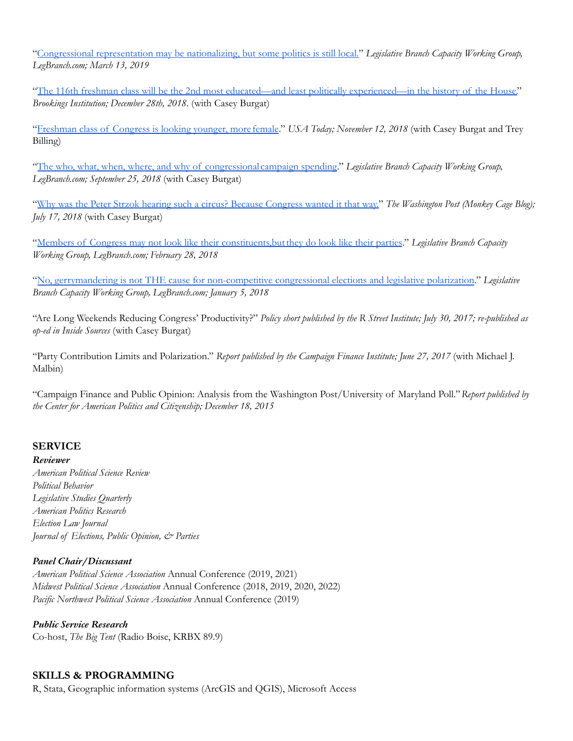"Congressional [representation](https://www.legbranch.org/congressional-representation-might-be-nationalizing-but-some-politics-is-still-local/) may be nationalizing, but some politics is still local." *Legislative Branch Capacity Working Group, LegBranch.com; March 13, 2019*

"The 116th freshman class will be the 2nd most educated—and least politically [experienced—in](https://www.brookings.edu/blog/fixgov/2018/12/28/congress-in-2019-the-2nd-most-educated-and-least-politically-experienced-house-freshman-class/) the history of the House." *Brookings Institution; December 28th, 2018*. (with Casey Burgat)

"[Freshman](https://www.usatoday.com/story/opinion/2018/11/12/freshman-class-congress-looking-younger-female-talker/1974721002/) class of Congress is looking younger, more female." *USA Today; November 12, 2018* (with Casey Burgat and Trey Billing)

"The who, what, when, where, and why of [congressional](https://www.legbranch.org/2018-9-20-the-who-what-when-where-and-why-of-congressional-campaign-spending/) campaign spending." *Legislative Branch Capacity Working Group, LegBranch.com; September 25, 2018* (with Casey Burgat)

"Why was the Peter Strzok hearing such a circus? Because [Congress](https://www.washingtonpost.com/news/monkey-cage/wp/2018/07/17/why-was-the-peter-strzok-hearing-such-a-circus-because-congress-wanted-it-that-way/) wanted it that way." *The Washington Post (Monkey Cage Blog); July 17, 2018* (with Casey Burgat)

"Members of Congress may not look like their [constituents,butthey](https://www.legbranch.org/2018-2-27-members-of-congress-may-not-look-like-their-constituents-but-they-do-look-like-their-parties/) do look like their parties." *Legislative Branch Capacity Working Group, LegBranch.com; February 28, 2018*

"No, gerrymandering is not THE cause for [non-competitive](https://www.legbranch.org/2018-1-5-no-gerrymandering-is-not-the-cause-for-non-competitive-congressional-elections-and-legislative-polarization/) congressional elections and legislative polarization." *Legislative Branch Capacity Working Group, LegBranch.com; January 5, 2018*

"Are Long Weekends Reducing Congress' Productivity?" *Policy short published by the R Street Institute; July 30, 2017; re-published as op-ed in Inside Sources* (with Casey Burgat)

"Party Contribution Limits and Polarization." *Report published by the Campaign Finance Institute; June 27, 2017* (with Michael J. Malbin)

"Campaign Finance and Public Opinion: Analysis from the Washington Post/University of Maryland Poll."*Report published by the Center for American Politics and Citizenship; December 18, 2015*

## **SERVICE**

*Reviewer American Political Science Review Political Behavior Legislative Studies Quarterly American Politics Research Election Law Journal Journal of Elections, Public Opinion, & Parties*

## *Panel Chair/Discussant*

*American Political Science Association* Annual Conference (2019, 2021) *Midwest Political Science Association* Annual Conference (2018, 2019, 2020, 2022) *Pacific Northwest Political Science Association* Annual Conference (2019)

*Public Service Research* Co-host, *The Big Tent* (Radio Boise, KRBX 89.9)

## **SKILLS & PROGRAMMING**

R, Stata, Geographic information systems (ArcGIS and QGIS), Microsoft Access